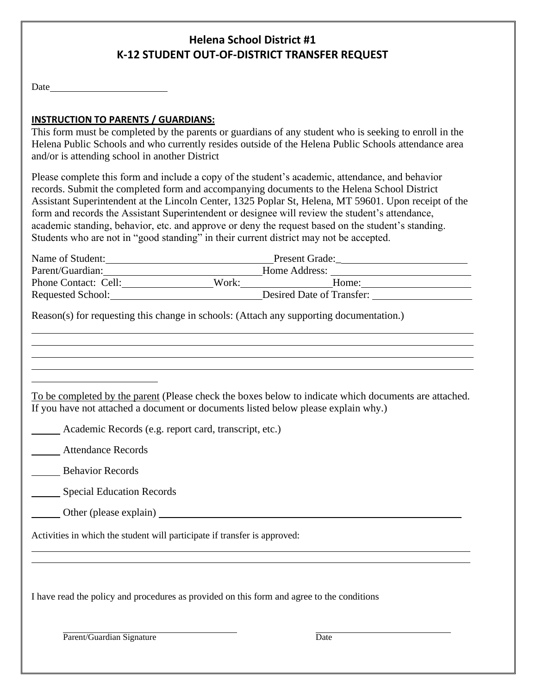# **Helena School District #1 K-12 STUDENT OUT-OF-DISTRICT TRANSFER REQUEST**

Date and the set of the set of the set of the set of the set of the set of the set of the set of the set of the set of the set of the set of the set of the set of the set of the set of the set of the set of the set of the

## **INSTRUCTION TO PARENTS / GUARDIANS:**

This form must be completed by the parents or guardians of any student who is seeking to enroll in the Helena Public Schools and who currently resides outside of the Helena Public Schools attendance area and/or is attending school in another District

Please complete this form and include a copy of the student's academic, attendance, and behavior records. Submit the completed form and accompanying documents to the Helena School District Assistant Superintendent at the Lincoln Center, 1325 Poplar St, Helena, MT 59601. Upon receipt of the form and records the Assistant Superintendent or designee will review the student's attendance, academic standing, behavior, etc. and approve or deny the request based on the student's standing. Students who are not in "good standing" in their current district may not be accepted.

| Name of Student:     | <b>Present Grade:</b>     |       |
|----------------------|---------------------------|-------|
| Parent/Guardian:     | Home Address:             |       |
| Phone Contact: Cell: | Work:                     | Home: |
| Requested School:    | Desired Date of Transfer: |       |

Reason(s) for requesting this change in schools: (Attach any supporting documentation.)

To be completed by the parent (Please check the boxes below to indicate which documents are attached. If you have not attached a document or documents listed below please explain why.)

**Academic Records (e.g. report card, transcript, etc.)** 

Attendance Records

Behavior Records

**Special Education Records** 

Other (please explain)

Activities in which the student will participate if transfer is approved:

I have read the policy and procedures as provided on this form and agree to the conditions

Parent/Guardian Signature Date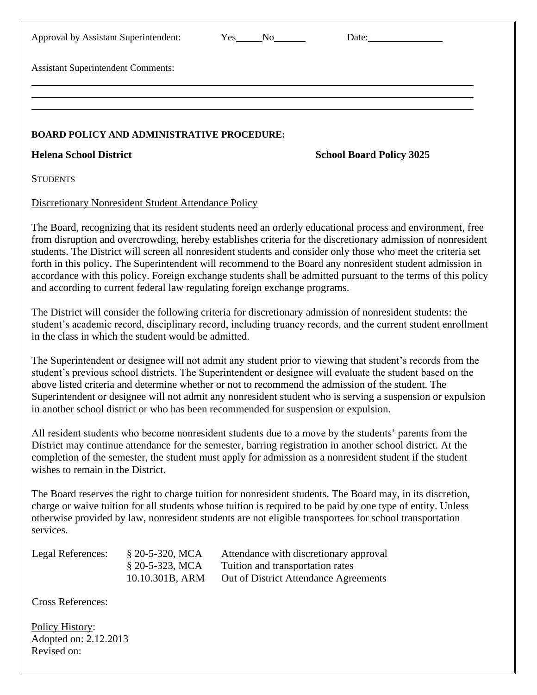| Approval by Assistant Superintendent:                                                                                                                                                                                                                                                                                                                                                                                                                                                                                                                                                                                                                    |                                                                                                                                                                                                                                                                                                                                                                                                                                                                                                                                    | Yes No                                                                                                              |  | Date: $\sqrt{\frac{2}{1-\frac{1}{2}}$ |  |  |  |
|----------------------------------------------------------------------------------------------------------------------------------------------------------------------------------------------------------------------------------------------------------------------------------------------------------------------------------------------------------------------------------------------------------------------------------------------------------------------------------------------------------------------------------------------------------------------------------------------------------------------------------------------------------|------------------------------------------------------------------------------------------------------------------------------------------------------------------------------------------------------------------------------------------------------------------------------------------------------------------------------------------------------------------------------------------------------------------------------------------------------------------------------------------------------------------------------------|---------------------------------------------------------------------------------------------------------------------|--|---------------------------------------|--|--|--|
| <b>Assistant Superintendent Comments:</b>                                                                                                                                                                                                                                                                                                                                                                                                                                                                                                                                                                                                                |                                                                                                                                                                                                                                                                                                                                                                                                                                                                                                                                    |                                                                                                                     |  |                                       |  |  |  |
|                                                                                                                                                                                                                                                                                                                                                                                                                                                                                                                                                                                                                                                          |                                                                                                                                                                                                                                                                                                                                                                                                                                                                                                                                    |                                                                                                                     |  |                                       |  |  |  |
| <b>BOARD POLICY AND ADMINISTRATIVE PROCEDURE:</b>                                                                                                                                                                                                                                                                                                                                                                                                                                                                                                                                                                                                        |                                                                                                                                                                                                                                                                                                                                                                                                                                                                                                                                    |                                                                                                                     |  |                                       |  |  |  |
| <b>Helena School District</b>                                                                                                                                                                                                                                                                                                                                                                                                                                                                                                                                                                                                                            | <b>School Board Policy 3025</b>                                                                                                                                                                                                                                                                                                                                                                                                                                                                                                    |                                                                                                                     |  |                                       |  |  |  |
| <b>STUDENTS</b>                                                                                                                                                                                                                                                                                                                                                                                                                                                                                                                                                                                                                                          |                                                                                                                                                                                                                                                                                                                                                                                                                                                                                                                                    |                                                                                                                     |  |                                       |  |  |  |
| <b>Discretionary Nonresident Student Attendance Policy</b>                                                                                                                                                                                                                                                                                                                                                                                                                                                                                                                                                                                               |                                                                                                                                                                                                                                                                                                                                                                                                                                                                                                                                    |                                                                                                                     |  |                                       |  |  |  |
| The Board, recognizing that its resident students need an orderly educational process and environment, free<br>from disruption and overcrowding, hereby establishes criteria for the discretionary admission of nonresident<br>students. The District will screen all nonresident students and consider only those who meet the criteria set<br>forth in this policy. The Superintendent will recommend to the Board any nonresident student admission in<br>accordance with this policy. Foreign exchange students shall be admitted pursuant to the terms of this policy<br>and according to current federal law regulating foreign exchange programs. |                                                                                                                                                                                                                                                                                                                                                                                                                                                                                                                                    |                                                                                                                     |  |                                       |  |  |  |
| The District will consider the following criteria for discretionary admission of nonresident students: the<br>student's academic record, disciplinary record, including truancy records, and the current student enrollment<br>in the class in which the student would be admitted.                                                                                                                                                                                                                                                                                                                                                                      |                                                                                                                                                                                                                                                                                                                                                                                                                                                                                                                                    |                                                                                                                     |  |                                       |  |  |  |
|                                                                                                                                                                                                                                                                                                                                                                                                                                                                                                                                                                                                                                                          | The Superintendent or designee will not admit any student prior to viewing that student's records from the<br>student's previous school districts. The Superintendent or designee will evaluate the student based on the<br>above listed criteria and determine whether or not to recommend the admission of the student. The<br>Superintendent or designee will not admit any nonresident student who is serving a suspension or expulsion<br>in another school district or who has been recommended for suspension or expulsion. |                                                                                                                     |  |                                       |  |  |  |
| wishes to remain in the District.                                                                                                                                                                                                                                                                                                                                                                                                                                                                                                                                                                                                                        | All resident students who become nonresident students due to a move by the students' parents from the<br>District may continue attendance for the semester, barring registration in another school district. At the<br>completion of the semester, the student must apply for admission as a nonresident student if the student                                                                                                                                                                                                    |                                                                                                                     |  |                                       |  |  |  |
| The Board reserves the right to charge tuition for nonresident students. The Board may, in its discretion,<br>charge or waive tuition for all students whose tuition is required to be paid by one type of entity. Unless<br>otherwise provided by law, nonresident students are not eligible transportees for school transportation<br>services.                                                                                                                                                                                                                                                                                                        |                                                                                                                                                                                                                                                                                                                                                                                                                                                                                                                                    |                                                                                                                     |  |                                       |  |  |  |
| Legal References:                                                                                                                                                                                                                                                                                                                                                                                                                                                                                                                                                                                                                                        | $$20-5-320, MCA$<br>§ 20-5-323, MCA<br>10.10.301B, ARM                                                                                                                                                                                                                                                                                                                                                                                                                                                                             | Attendance with discretionary approval<br>Tuition and transportation rates<br>Out of District Attendance Agreements |  |                                       |  |  |  |

Cross References:

Policy History: Adopted on: 2.12.2013 Revised on: